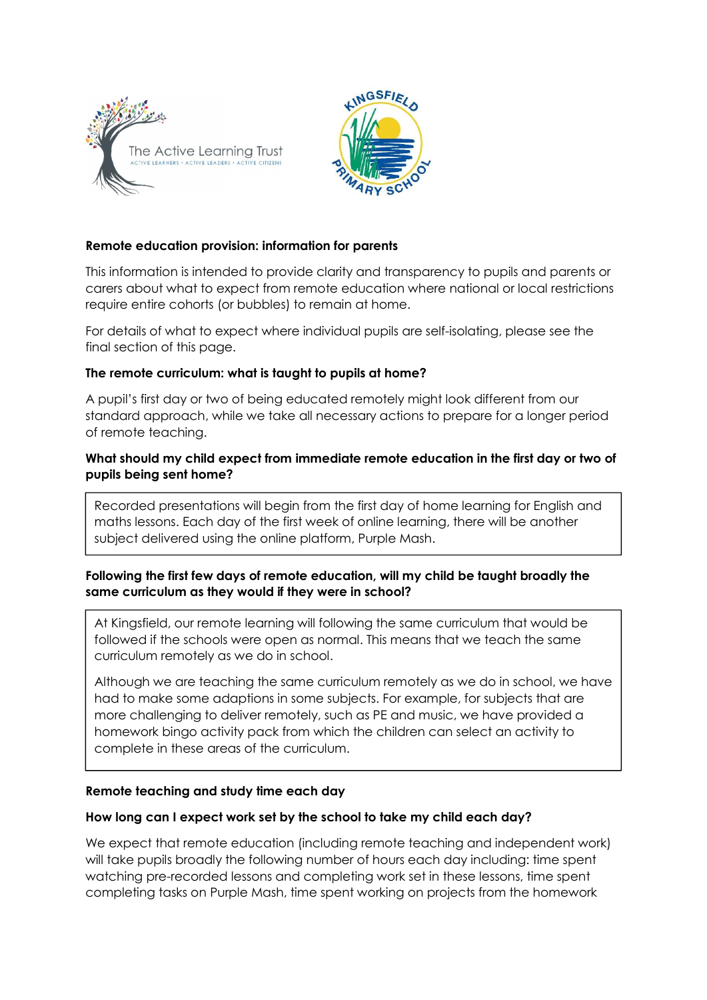



# Remote education provision: information for parents

This information is intended to provide clarity and transparency to pupils and parents or carers about what to expect from remote education where national or local restrictions require entire cohorts (or bubbles) to remain at home.

For details of what to expect where individual pupils are self-isolating, please see the final section of this page.

## The remote curriculum: what is taught to pupils at home?

A pupil's first day or two of being educated remotely might look different from our standard approach, while we take all necessary actions to prepare for a longer period of remote teaching.

# What should my child expect from immediate remote education in the first day or two of pupils being sent home?

Recorded presentations will begin from the first day of home learning for English and maths lessons. Each day of the first week of online learning, there will be another subject delivered using the online platform, Purple Mash.

# Following the first few days of remote education, will my child be taught broadly the same curriculum as they would if they were in school?

At Kingsfield, our remote learning will following the same curriculum that would be followed if the schools were open as normal. This means that we teach the same curriculum remotely as we do in school.

Although we are teaching the same curriculum remotely as we do in school, we have had to make some adaptions in some subjects. For example, for subjects that are more challenging to deliver remotely, such as PE and music, we have provided a homework bingo activity pack from which the children can select an activity to complete in these areas of the curriculum.

## Remote teaching and study time each day

## How long can I expect work set by the school to take my child each day?

We expect that remote education (including remote teaching and independent work) will take pupils broadly the following number of hours each day including: time spent watching pre-recorded lessons and completing work set in these lessons, time spent completing tasks on Purple Mash, time spent working on projects from the homework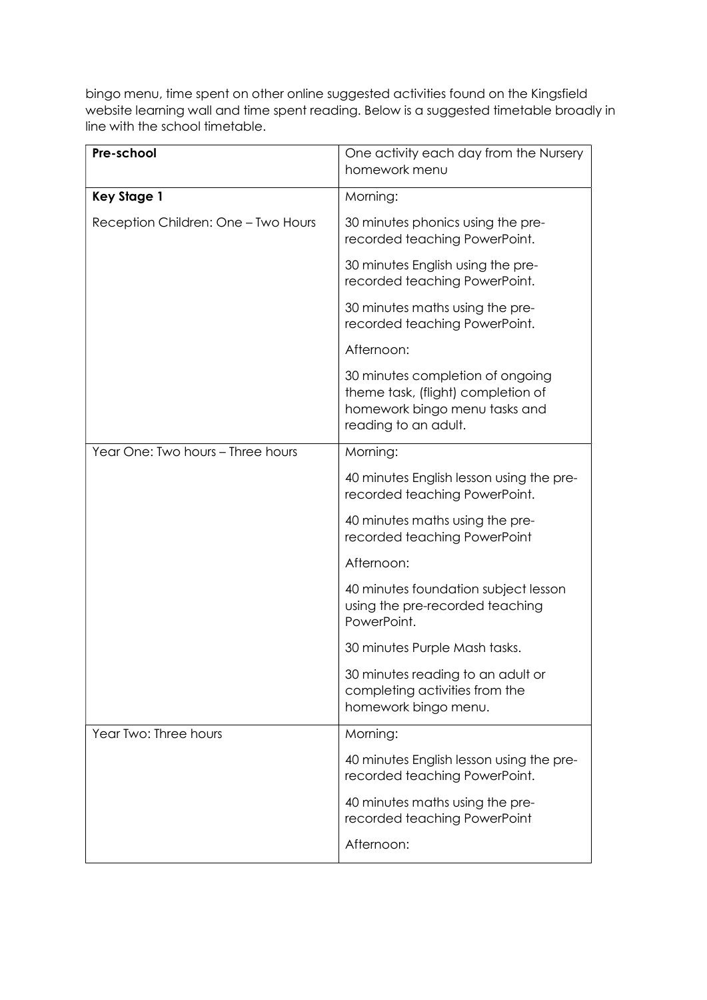bingo menu, time spent on other online suggested activities found on the Kingsfield website learning wall and time spent reading. Below is a suggested timetable broadly in line with the school timetable.

| Pre-school                          | One activity each day from the Nursery<br>homework menu                                                                         |
|-------------------------------------|---------------------------------------------------------------------------------------------------------------------------------|
| <b>Key Stage 1</b>                  | Morning:                                                                                                                        |
| Reception Children: One - Two Hours | 30 minutes phonics using the pre-<br>recorded teaching PowerPoint.                                                              |
|                                     | 30 minutes English using the pre-<br>recorded teaching PowerPoint.                                                              |
|                                     | 30 minutes maths using the pre-<br>recorded teaching PowerPoint.                                                                |
|                                     | Afternoon:                                                                                                                      |
|                                     | 30 minutes completion of ongoing<br>theme task, (flight) completion of<br>homework bingo menu tasks and<br>reading to an adult. |
| Year One: Two hours - Three hours   | Morning:                                                                                                                        |
|                                     | 40 minutes English lesson using the pre-<br>recorded teaching PowerPoint.                                                       |
|                                     | 40 minutes maths using the pre-<br>recorded teaching PowerPoint                                                                 |
|                                     | Afternoon:                                                                                                                      |
|                                     | 40 minutes foundation subject lesson<br>using the pre-recorded teaching<br>PowerPoint.                                          |
|                                     | 30 minutes Purple Mash tasks.                                                                                                   |
|                                     | 30 minutes reading to an adult or<br>completing activities from the<br>homework bingo menu.                                     |
| Year Two: Three hours               | Morning:                                                                                                                        |
|                                     | 40 minutes English lesson using the pre-<br>recorded teaching PowerPoint.                                                       |
|                                     | 40 minutes maths using the pre-<br>recorded teaching PowerPoint                                                                 |
|                                     | Afternoon:                                                                                                                      |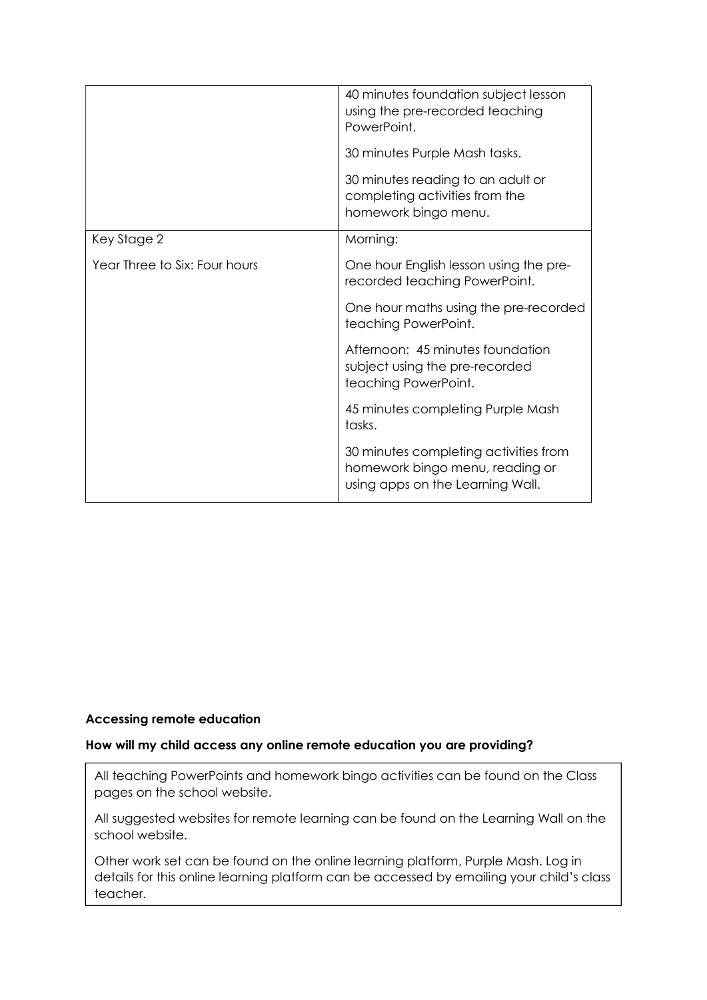|                               | 40 minutes foundation subject lesson<br>using the pre-recorded teaching<br>PowerPoint.                       |
|-------------------------------|--------------------------------------------------------------------------------------------------------------|
|                               | 30 minutes Purple Mash tasks.                                                                                |
|                               | 30 minutes reading to an adult or<br>completing activities from the<br>homework bingo menu.                  |
| Key Stage 2                   | Morning:                                                                                                     |
| Year Three to Six: Four hours | One hour English lesson using the pre-<br>recorded teaching PowerPoint.                                      |
|                               | One hour maths using the pre-recorded<br>teaching PowerPoint.                                                |
|                               | Afternoon: 45 minutes foundation<br>subject using the pre-recorded<br>teaching PowerPoint.                   |
|                               | 45 minutes completing Purple Mash<br>tasks.                                                                  |
|                               | 30 minutes completing activities from<br>homework bingo menu, reading or<br>using apps on the Learning Wall. |

# Accessing remote education

#### How will my child access any online remote education you are providing?

All teaching PowerPoints and homework bingo activities can be found on the Class pages on the school website.

All suggested websites for remote learning can be found on the Learning Wall on the school website.

Other work set can be found on the online learning platform, Purple Mash. Log in details for this online learning platform can be accessed by emailing your child's class teacher.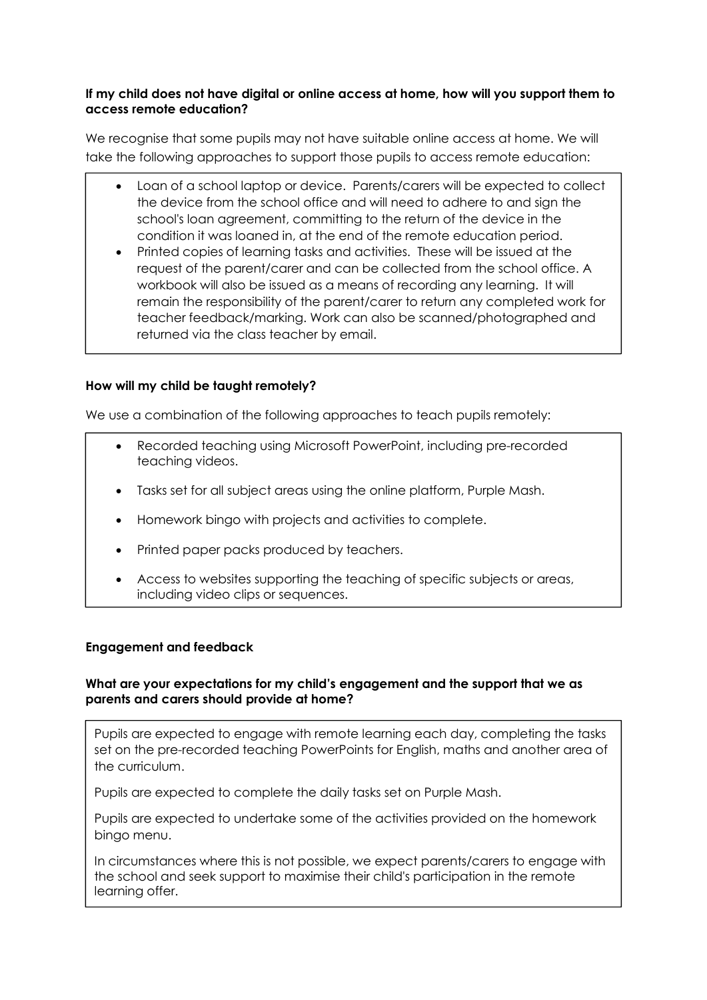# If my child does not have digital or online access at home, how will you support them to access remote education?

We recognise that some pupils may not have suitable online access at home. We will take the following approaches to support those pupils to access remote education:

- Loan of a school laptop or device. Parents/carers will be expected to collect the device from the school office and will need to adhere to and sign the school's loan agreement, committing to the return of the device in the condition it was loaned in, at the end of the remote education period.
- Printed copies of learning tasks and activities. These will be issued at the request of the parent/carer and can be collected from the school office. A workbook will also be issued as a means of recording any learning. It will remain the responsibility of the parent/carer to return any completed work for teacher feedback/marking. Work can also be scanned/photographed and returned via the class teacher by email.

# How will my child be taught remotely?

We use a combination of the following approaches to teach pupils remotely:

- Recorded teaching using Microsoft PowerPoint, including pre-recorded teaching videos.
- Tasks set for all subject areas using the online platform, Purple Mash.
- Homework bingo with projects and activities to complete.
- Printed paper packs produced by teachers.
- Access to websites supporting the teaching of specific subjects or areas, including video clips or sequences.

## Engagement and feedback

## What are your expectations for my child's engagement and the support that we as parents and carers should provide at home?

Pupils are expected to engage with remote learning each day, completing the tasks set on the pre-recorded teaching PowerPoints for English, maths and another area of the curriculum.

Pupils are expected to complete the daily tasks set on Purple Mash.

Pupils are expected to undertake some of the activities provided on the homework bingo menu.

In circumstances where this is not possible, we expect parents/carers to engage with the school and seek support to maximise their child's participation in the remote learning offer.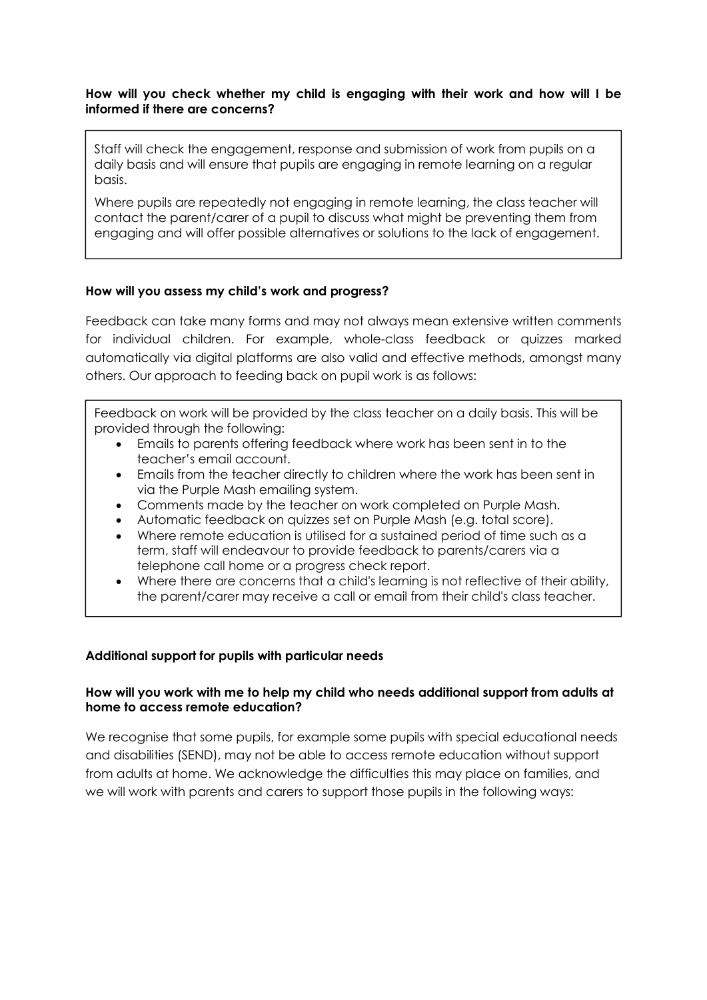## How will you check whether my child is engaging with their work and how will I be informed if there are concerns?

Staff will check the engagement, response and submission of work from pupils on a daily basis and will ensure that pupils are engaging in remote learning on a regular basis.

Where pupils are repeatedly not engaging in remote learning, the class teacher will contact the parent/carer of a pupil to discuss what might be preventing them from engaging and will offer possible alternatives or solutions to the lack of engagement.

## How will you assess my child's work and progress?

Feedback can take many forms and may not always mean extensive written comments for individual children. For example, whole-class feedback or quizzes marked automatically via digital platforms are also valid and effective methods, amongst many others. Our approach to feeding back on pupil work is as follows:

Feedback on work will be provided by the class teacher on a daily basis. This will be provided through the following:

- Emails to parents offering feedback where work has been sent in to the teacher's email account.
- Emails from the teacher directly to children where the work has been sent in via the Purple Mash emailing system.
- Comments made by the teacher on work completed on Purple Mash.
- Automatic feedback on quizzes set on Purple Mash (e.g. total score).
- Where remote education is utilised for a sustained period of time such as a term, staff will endeavour to provide feedback to parents/carers via a telephone call home or a progress check report.
- Where there are concerns that a child's learning is not reflective of their ability, the parent/carer may receive a call or email from their child's class teacher.

#### Additional support for pupils with particular needs

## How will you work with me to help my child who needs additional support from adults at home to access remote education?

We recognise that some pupils, for example some pupils with special educational needs and disabilities (SEND), may not be able to access remote education without support from adults at home. We acknowledge the difficulties this may place on families, and we will work with parents and carers to support those pupils in the following ways: